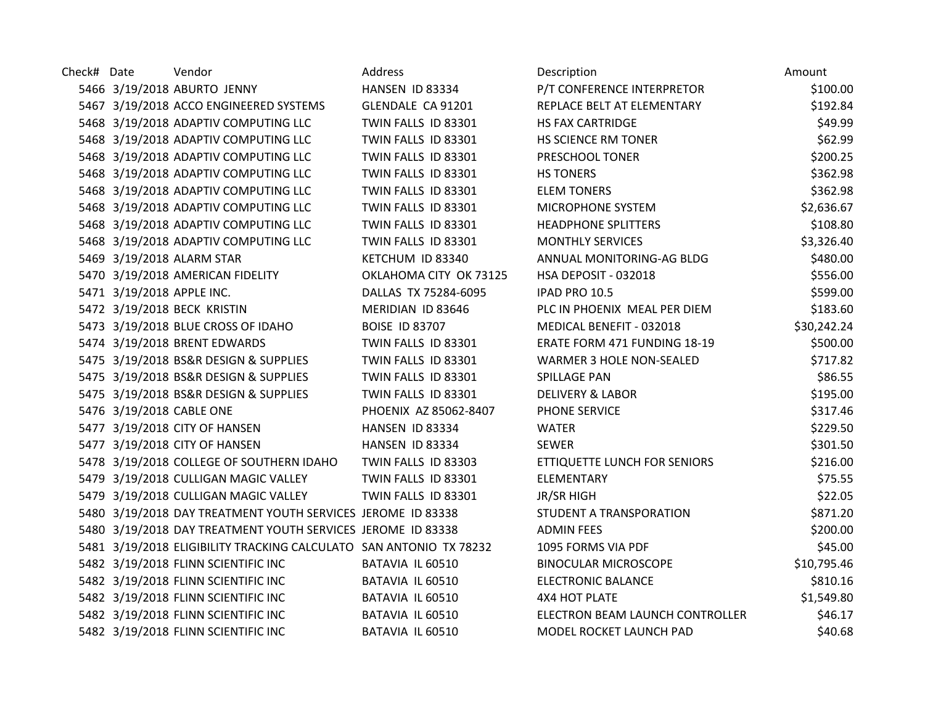| Check# Date |                           | Vendor                                                             | Address                | Description                     | Amount      |
|-------------|---------------------------|--------------------------------------------------------------------|------------------------|---------------------------------|-------------|
|             |                           | 5466 3/19/2018 ABURTO JENNY                                        | HANSEN ID 83334        | P/T CONFERENCE INTERPRETOR      | \$100.00    |
|             |                           | 5467 3/19/2018 ACCO ENGINEERED SYSTEMS                             | GLENDALE CA 91201      | REPLACE BELT AT ELEMENTARY      | \$192.84    |
|             |                           | 5468 3/19/2018 ADAPTIV COMPUTING LLC                               | TWIN FALLS ID 83301    | <b>HS FAX CARTRIDGE</b>         | \$49.99     |
|             |                           | 5468 3/19/2018 ADAPTIV COMPUTING LLC                               | TWIN FALLS ID 83301    | HS SCIENCE RM TONER             | \$62.99     |
|             |                           | 5468 3/19/2018 ADAPTIV COMPUTING LLC                               | TWIN FALLS ID 83301    | PRESCHOOL TONER                 | \$200.25    |
|             |                           | 5468 3/19/2018 ADAPTIV COMPUTING LLC                               | TWIN FALLS ID 83301    | <b>HS TONERS</b>                | \$362.98    |
|             |                           | 5468 3/19/2018 ADAPTIV COMPUTING LLC                               | TWIN FALLS ID 83301    | <b>ELEM TONERS</b>              | \$362.98    |
|             |                           | 5468 3/19/2018 ADAPTIV COMPUTING LLC                               | TWIN FALLS ID 83301    | MICROPHONE SYSTEM               | \$2,636.67  |
|             |                           | 5468 3/19/2018 ADAPTIV COMPUTING LLC                               | TWIN FALLS ID 83301    | <b>HEADPHONE SPLITTERS</b>      | \$108.80    |
|             |                           | 5468 3/19/2018 ADAPTIV COMPUTING LLC                               | TWIN FALLS ID 83301    | <b>MONTHLY SERVICES</b>         | \$3,326.40  |
|             |                           | 5469 3/19/2018 ALARM STAR                                          | KETCHUM ID 83340       | ANNUAL MONITORING-AG BLDG       | \$480.00    |
|             |                           | 5470 3/19/2018 AMERICAN FIDELITY                                   | OKLAHOMA CITY OK 73125 | HSA DEPOSIT - 032018            | \$556.00    |
|             | 5471 3/19/2018 APPLE INC. |                                                                    | DALLAS TX 75284-6095   | IPAD PRO 10.5                   | \$599.00    |
|             |                           | 5472 3/19/2018 BECK KRISTIN                                        | MERIDIAN ID 83646      | PLC IN PHOENIX MEAL PER DIEM    | \$183.60    |
|             |                           | 5473 3/19/2018 BLUE CROSS OF IDAHO                                 | <b>BOISE ID 83707</b>  | MEDICAL BENEFIT - 032018        | \$30,242.24 |
|             |                           | 5474 3/19/2018 BRENT EDWARDS                                       | TWIN FALLS ID 83301    | ERATE FORM 471 FUNDING 18-19    | \$500.00    |
|             |                           | 5475 3/19/2018 BS&R DESIGN & SUPPLIES                              | TWIN FALLS ID 83301    | <b>WARMER 3 HOLE NON-SEALED</b> | \$717.82    |
|             |                           | 5475 3/19/2018 BS&R DESIGN & SUPPLIES                              | TWIN FALLS ID 83301    | SPILLAGE PAN                    | \$86.55     |
|             |                           | 5475 3/19/2018 BS&R DESIGN & SUPPLIES                              | TWIN FALLS ID 83301    | <b>DELIVERY &amp; LABOR</b>     | \$195.00    |
|             | 5476 3/19/2018 CABLE ONE  |                                                                    | PHOENIX AZ 85062-8407  | PHONE SERVICE                   | \$317.46    |
|             |                           | 5477 3/19/2018 CITY OF HANSEN                                      | HANSEN ID 83334        | <b>WATER</b>                    | \$229.50    |
|             |                           | 5477 3/19/2018 CITY OF HANSEN                                      | HANSEN ID 83334        | <b>SEWER</b>                    | \$301.50    |
|             |                           | 5478 3/19/2018 COLLEGE OF SOUTHERN IDAHO                           | TWIN FALLS ID 83303    | ETTIQUETTE LUNCH FOR SENIORS    | \$216.00    |
|             |                           | 5479 3/19/2018 CULLIGAN MAGIC VALLEY                               | TWIN FALLS ID 83301    | ELEMENTARY                      | \$75.55     |
|             |                           | 5479 3/19/2018 CULLIGAN MAGIC VALLEY                               | TWIN FALLS ID 83301    | <b>JR/SR HIGH</b>               | \$22.05     |
|             |                           | 5480 3/19/2018 DAY TREATMENT YOUTH SERVICES JEROME ID 83338        |                        | STUDENT A TRANSPORATION         | \$871.20    |
|             |                           | 5480 3/19/2018 DAY TREATMENT YOUTH SERVICES JEROME ID 83338        |                        | <b>ADMIN FEES</b>               | \$200.00    |
|             |                           | 5481 3/19/2018 ELIGIBILITY TRACKING CALCULATO SAN ANTONIO TX 78232 |                        | 1095 FORMS VIA PDF              | \$45.00     |
|             |                           | 5482 3/19/2018 FLINN SCIENTIFIC INC                                | BATAVIA IL 60510       | <b>BINOCULAR MICROSCOPE</b>     | \$10,795.46 |
|             |                           | 5482 3/19/2018 FLINN SCIENTIFIC INC                                | BATAVIA IL 60510       | <b>ELECTRONIC BALANCE</b>       | \$810.16    |
|             |                           | 5482 3/19/2018 FLINN SCIENTIFIC INC                                | BATAVIA IL 60510       | <b>4X4 HOT PLATE</b>            | \$1,549.80  |
|             |                           | 5482 3/19/2018 FLINN SCIENTIFIC INC                                | BATAVIA IL 60510       | ELECTRON BEAM LAUNCH CONTROLLER | \$46.17     |
|             |                           | 5482 3/19/2018 FLINN SCIENTIFIC INC                                | BATAVIA IL 60510       | MODEL ROCKET LAUNCH PAD         | \$40.68     |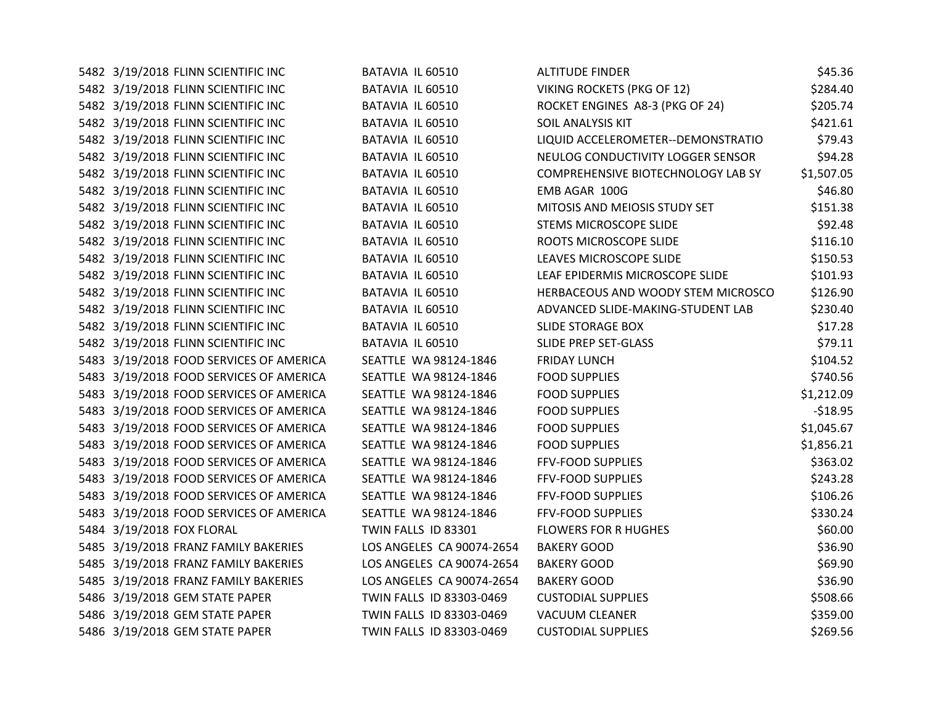| 5482 3/19/2018 FLINN SCIENTIFIC INC     | BATAVIA IL 60510          | <b>ALTITUDE FINDER</b>             | \$45.36    |
|-----------------------------------------|---------------------------|------------------------------------|------------|
| 5482 3/19/2018 FLINN SCIENTIFIC INC     | BATAVIA IL 60510          | <b>VIKING ROCKETS (PKG OF 12)</b>  | \$284.40   |
| 5482 3/19/2018 FLINN SCIENTIFIC INC     | BATAVIA IL 60510          | ROCKET ENGINES A8-3 (PKG OF 24)    | \$205.74   |
| 5482 3/19/2018 FLINN SCIENTIFIC INC     | BATAVIA IL 60510          | SOIL ANALYSIS KIT                  | \$421.61   |
| 5482 3/19/2018 FLINN SCIENTIFIC INC     | BATAVIA IL 60510          | LIQUID ACCELEROMETER--DEMONSTRATIO | \$79.43    |
| 5482 3/19/2018 FLINN SCIENTIFIC INC     | BATAVIA IL 60510          | NEULOG CONDUCTIVITY LOGGER SENSOR  | \$94.28    |
| 5482 3/19/2018 FLINN SCIENTIFIC INC     | BATAVIA IL 60510          | COMPREHENSIVE BIOTECHNOLOGY LAB SY | \$1,507.05 |
| 5482 3/19/2018 FLINN SCIENTIFIC INC     | BATAVIA IL 60510          | EMB AGAR 100G                      | \$46.80    |
| 5482 3/19/2018 FLINN SCIENTIFIC INC     | BATAVIA IL 60510          | MITOSIS AND MEIOSIS STUDY SET      | \$151.38   |
| 5482 3/19/2018 FLINN SCIENTIFIC INC     | BATAVIA IL 60510          | STEMS MICROSCOPE SLIDE             | \$92.48    |
| 5482 3/19/2018 FLINN SCIENTIFIC INC     | BATAVIA IL 60510          | ROOTS MICROSCOPE SLIDE             | \$116.10   |
| 5482 3/19/2018 FLINN SCIENTIFIC INC     | BATAVIA IL 60510          | LEAVES MICROSCOPE SLIDE            | \$150.53   |
| 5482 3/19/2018 FLINN SCIENTIFIC INC     | BATAVIA IL 60510          | LEAF EPIDERMIS MICROSCOPE SLIDE    | \$101.93   |
| 5482 3/19/2018 FLINN SCIENTIFIC INC     | BATAVIA IL 60510          | HERBACEOUS AND WOODY STEM MICROSCO | \$126.90   |
| 5482 3/19/2018 FLINN SCIENTIFIC INC     | BATAVIA IL 60510          | ADVANCED SLIDE-MAKING-STUDENT LAB  | \$230.40   |
| 5482 3/19/2018 FLINN SCIENTIFIC INC     | BATAVIA IL 60510          | <b>SLIDE STORAGE BOX</b>           | \$17.28    |
| 5482 3/19/2018 FLINN SCIENTIFIC INC     | BATAVIA IL 60510          | <b>SLIDE PREP SET-GLASS</b>        | \$79.11    |
| 5483 3/19/2018 FOOD SERVICES OF AMERICA | SEATTLE WA 98124-1846     | <b>FRIDAY LUNCH</b>                | \$104.52   |
| 5483 3/19/2018 FOOD SERVICES OF AMERICA | SEATTLE WA 98124-1846     | <b>FOOD SUPPLIES</b>               | \$740.56   |
| 5483 3/19/2018 FOOD SERVICES OF AMERICA | SEATTLE WA 98124-1846     | <b>FOOD SUPPLIES</b>               | \$1,212.09 |
| 5483 3/19/2018 FOOD SERVICES OF AMERICA | SEATTLE WA 98124-1846     | <b>FOOD SUPPLIES</b>               | $-518.95$  |
| 5483 3/19/2018 FOOD SERVICES OF AMERICA | SEATTLE WA 98124-1846     | <b>FOOD SUPPLIES</b>               | \$1,045.67 |
| 5483 3/19/2018 FOOD SERVICES OF AMERICA | SEATTLE WA 98124-1846     | <b>FOOD SUPPLIES</b>               | \$1,856.21 |
| 5483 3/19/2018 FOOD SERVICES OF AMERICA | SEATTLE WA 98124-1846     | FFV-FOOD SUPPLIES                  | \$363.02   |
| 5483 3/19/2018 FOOD SERVICES OF AMERICA | SEATTLE WA 98124-1846     | FFV-FOOD SUPPLIES                  | \$243.28   |
| 5483 3/19/2018 FOOD SERVICES OF AMERICA | SEATTLE WA 98124-1846     | FFV-FOOD SUPPLIES                  | \$106.26   |
| 5483 3/19/2018 FOOD SERVICES OF AMERICA | SEATTLE WA 98124-1846     | FFV-FOOD SUPPLIES                  | \$330.24   |
| 5484 3/19/2018 FOX FLORAL               | TWIN FALLS ID 83301       | <b>FLOWERS FOR R HUGHES</b>        | \$60.00    |
| 5485 3/19/2018 FRANZ FAMILY BAKERIES    | LOS ANGELES CA 90074-2654 | <b>BAKERY GOOD</b>                 | \$36.90    |
| 5485 3/19/2018 FRANZ FAMILY BAKERIES    | LOS ANGELES CA 90074-2654 | <b>BAKERY GOOD</b>                 | \$69.90    |
| 5485 3/19/2018 FRANZ FAMILY BAKERIES    | LOS ANGELES CA 90074-2654 | <b>BAKERY GOOD</b>                 | \$36.90    |
| 5486 3/19/2018 GEM STATE PAPER          | TWIN FALLS ID 83303-0469  | <b>CUSTODIAL SUPPLIES</b>          | \$508.66   |
| 5486 3/19/2018 GEM STATE PAPER          | TWIN FALLS ID 83303-0469  | <b>VACUUM CLEANER</b>              | \$359.00   |
| 5486 3/19/2018 GEM STATE PAPER          | TWIN FALLS ID 83303-0469  | <b>CUSTODIAL SUPPLIES</b>          | \$269.56   |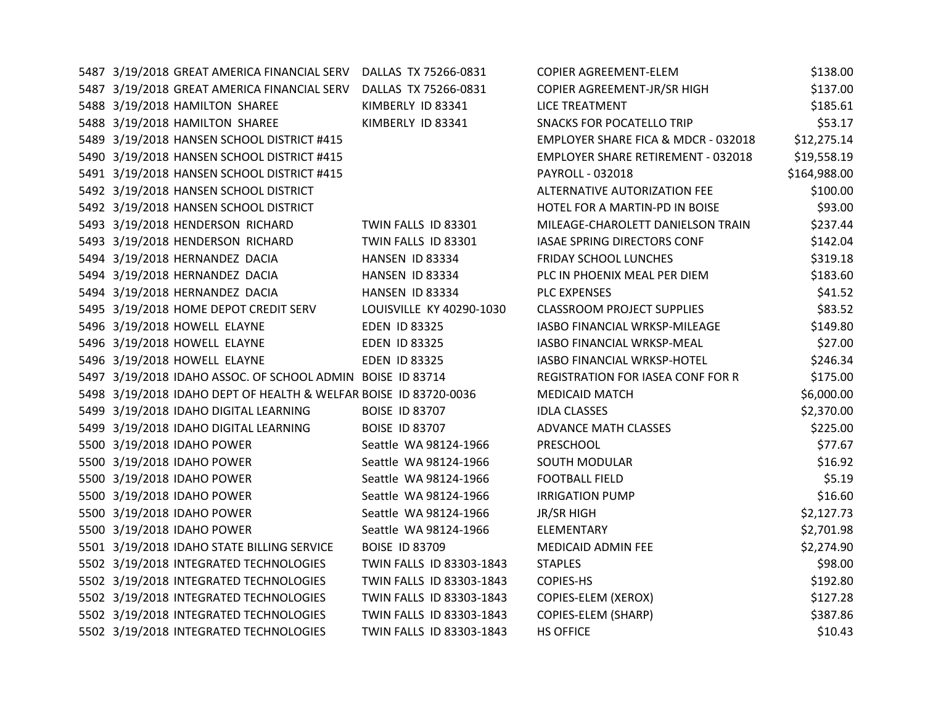| 5487 3/19/2018 GREAT AMERICA FINANCIAL SERV DALLAS TX 75266-0831 |                          | COPIER AGREEMENT-ELEM                     | \$138.00     |
|------------------------------------------------------------------|--------------------------|-------------------------------------------|--------------|
| 5487 3/19/2018 GREAT AMERICA FINANCIAL SERV DALLAS TX 75266-0831 |                          | COPIER AGREEMENT-JR/SR HIGH               | \$137.00     |
| 5488 3/19/2018 HAMILTON SHAREE                                   | KIMBERLY ID 83341        | LICE TREATMENT                            | \$185.61     |
| 5488 3/19/2018 HAMILTON SHAREE                                   | KIMBERLY ID 83341        | <b>SNACKS FOR POCATELLO TRIP</b>          | \$53.17      |
| 5489 3/19/2018 HANSEN SCHOOL DISTRICT #415                       |                          | EMPLOYER SHARE FICA & MDCR - 032018       | \$12,275.14  |
| 5490 3/19/2018 HANSEN SCHOOL DISTRICT #415                       |                          | <b>EMPLOYER SHARE RETIREMENT - 032018</b> | \$19,558.19  |
| 5491 3/19/2018 HANSEN SCHOOL DISTRICT #415                       |                          | PAYROLL - 032018                          | \$164,988.00 |
| 5492 3/19/2018 HANSEN SCHOOL DISTRICT                            |                          | ALTERNATIVE AUTORIZATION FEE              | \$100.00     |
| 5492 3/19/2018 HANSEN SCHOOL DISTRICT                            |                          | HOTEL FOR A MARTIN-PD IN BOISE            | \$93.00      |
| 5493 3/19/2018 HENDERSON RICHARD                                 | TWIN FALLS ID 83301      | MILEAGE-CHAROLETT DANIELSON TRAIN         | \$237.44     |
| 5493 3/19/2018 HENDERSON RICHARD                                 | TWIN FALLS ID 83301      | IASAE SPRING DIRECTORS CONF               | \$142.04     |
| 5494 3/19/2018 HERNANDEZ DACIA                                   | HANSEN ID 83334          | <b>FRIDAY SCHOOL LUNCHES</b>              | \$319.18     |
| 5494 3/19/2018 HERNANDEZ DACIA                                   | HANSEN ID 83334          | PLC IN PHOENIX MEAL PER DIEM              | \$183.60     |
| 5494 3/19/2018 HERNANDEZ DACIA                                   | <b>HANSEN ID 83334</b>   | <b>PLC EXPENSES</b>                       | \$41.52      |
| 5495 3/19/2018 HOME DEPOT CREDIT SERV                            | LOUISVILLE KY 40290-1030 | <b>CLASSROOM PROJECT SUPPLIES</b>         | \$83.52      |
| 5496 3/19/2018 HOWELL ELAYNE                                     | <b>EDEN ID 83325</b>     | IASBO FINANCIAL WRKSP-MILEAGE             | \$149.80     |
| 5496 3/19/2018 HOWELL ELAYNE                                     | <b>EDEN ID 83325</b>     | IASBO FINANCIAL WRKSP-MEAL                | \$27.00      |
| 5496 3/19/2018 HOWELL ELAYNE                                     | <b>EDEN ID 83325</b>     | IASBO FINANCIAL WRKSP-HOTEL               | \$246.34     |
| 5497 3/19/2018 IDAHO ASSOC. OF SCHOOL ADMIN BOISE ID 83714       |                          | <b>REGISTRATION FOR IASEA CONF FOR R</b>  | \$175.00     |
| 5498 3/19/2018 IDAHO DEPT OF HEALTH & WELFAR BOISE ID 83720-0036 |                          | <b>MEDICAID MATCH</b>                     | \$6,000.00   |
| 5499 3/19/2018 IDAHO DIGITAL LEARNING                            | <b>BOISE ID 83707</b>    | <b>IDLA CLASSES</b>                       | \$2,370.00   |
| 5499 3/19/2018 IDAHO DIGITAL LEARNING                            | <b>BOISE ID 83707</b>    | <b>ADVANCE MATH CLASSES</b>               | \$225.00     |
| 5500 3/19/2018 IDAHO POWER                                       | Seattle WA 98124-1966    | PRESCHOOL                                 | \$77.67      |
| 5500 3/19/2018 IDAHO POWER                                       | Seattle WA 98124-1966    | <b>SOUTH MODULAR</b>                      | \$16.92      |
| 5500 3/19/2018 IDAHO POWER                                       | Seattle WA 98124-1966    | <b>FOOTBALL FIELD</b>                     | \$5.19       |
| 5500 3/19/2018 IDAHO POWER                                       | Seattle WA 98124-1966    | <b>IRRIGATION PUMP</b>                    | \$16.60      |
| 5500 3/19/2018 IDAHO POWER                                       | Seattle WA 98124-1966    | JR/SR HIGH                                | \$2,127.73   |
| 5500 3/19/2018 IDAHO POWER                                       | Seattle WA 98124-1966    | ELEMENTARY                                | \$2,701.98   |
| 5501 3/19/2018 IDAHO STATE BILLING SERVICE                       | <b>BOISE ID 83709</b>    | MEDICAID ADMIN FEE                        | \$2,274.90   |
| 5502 3/19/2018 INTEGRATED TECHNOLOGIES                           | TWIN FALLS ID 83303-1843 | <b>STAPLES</b>                            | \$98.00      |
| 5502 3/19/2018 INTEGRATED TECHNOLOGIES                           | TWIN FALLS ID 83303-1843 | COPIES-HS                                 | \$192.80     |
| 5502 3/19/2018 INTEGRATED TECHNOLOGIES                           | TWIN FALLS ID 83303-1843 | <b>COPIES-ELEM (XEROX)</b>                | \$127.28     |
| 5502 3/19/2018 INTEGRATED TECHNOLOGIES                           | TWIN FALLS ID 83303-1843 | COPIES-ELEM (SHARP)                       | \$387.86     |
| 5502 3/19/2018 INTEGRATED TECHNOLOGIES                           | TWIN FALLS ID 83303-1843 | <b>HS OFFICE</b>                          | \$10.43      |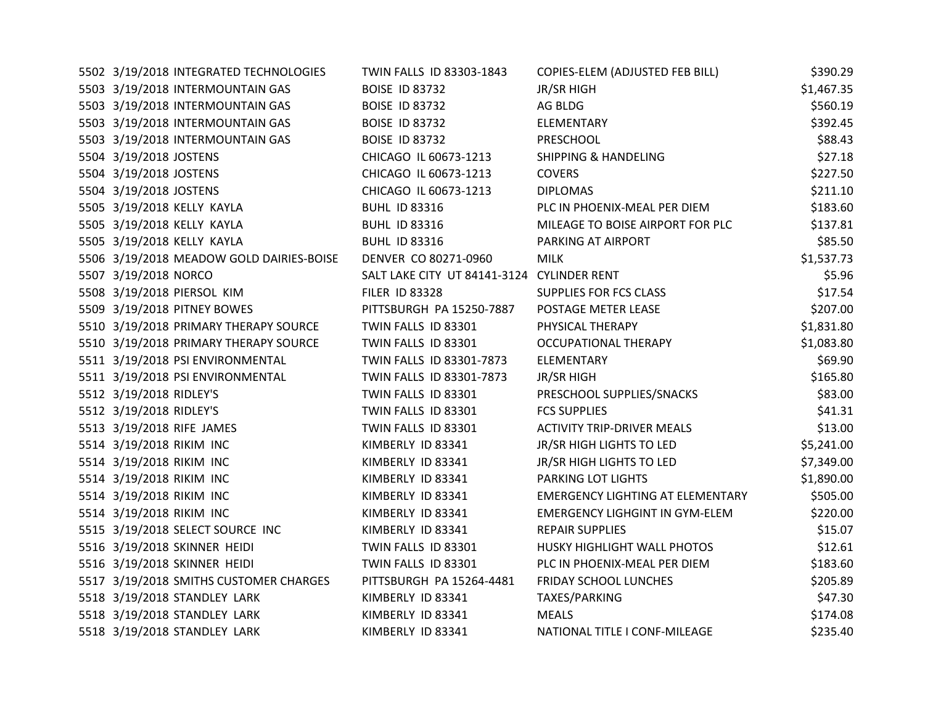| 5502 3/19/2018 INTEGRATED TECHNOLOGIES   | TWIN FALLS ID 83303-1843                   | COPIES-ELEM (ADJUSTED FEB BILL)         | \$390.29   |
|------------------------------------------|--------------------------------------------|-----------------------------------------|------------|
| 5503 3/19/2018 INTERMOUNTAIN GAS         | <b>BOISE ID 83732</b>                      | JR/SR HIGH                              | \$1,467.35 |
| 5503 3/19/2018 INTERMOUNTAIN GAS         | <b>BOISE ID 83732</b>                      | AG BLDG                                 | \$560.19   |
| 5503 3/19/2018 INTERMOUNTAIN GAS         | <b>BOISE ID 83732</b>                      | ELEMENTARY                              | \$392.45   |
| 5503 3/19/2018 INTERMOUNTAIN GAS         | <b>BOISE ID 83732</b>                      | PRESCHOOL                               | \$88.43    |
| 5504 3/19/2018 JOSTENS                   | CHICAGO IL 60673-1213                      | <b>SHIPPING &amp; HANDELING</b>         | \$27.18    |
| 5504 3/19/2018 JOSTENS                   | CHICAGO IL 60673-1213                      | <b>COVERS</b>                           | \$227.50   |
| 5504 3/19/2018 JOSTENS                   | CHICAGO IL 60673-1213                      | <b>DIPLOMAS</b>                         | \$211.10   |
| 5505 3/19/2018 KELLY KAYLA               | <b>BUHL ID 83316</b>                       | PLC IN PHOENIX-MEAL PER DIEM            | \$183.60   |
| 5505 3/19/2018 KELLY KAYLA               | <b>BUHL ID 83316</b>                       | MILEAGE TO BOISE AIRPORT FOR PLC        | \$137.81   |
| 5505 3/19/2018 KELLY KAYLA               | <b>BUHL ID 83316</b>                       | PARKING AT AIRPORT                      | \$85.50    |
| 5506 3/19/2018 MEADOW GOLD DAIRIES-BOISE | DENVER CO 80271-0960                       | MILK                                    | \$1,537.73 |
| 5507 3/19/2018 NORCO                     | SALT LAKE CITY UT 84141-3124 CYLINDER RENT |                                         | \$5.96     |
| 5508 3/19/2018 PIERSOL KIM               | <b>FILER ID 83328</b>                      | SUPPLIES FOR FCS CLASS                  | \$17.54    |
| 5509 3/19/2018 PITNEY BOWES              | PITTSBURGH PA 15250-7887                   | POSTAGE METER LEASE                     | \$207.00   |
| 5510 3/19/2018 PRIMARY THERAPY SOURCE    | TWIN FALLS ID 83301                        | PHYSICAL THERAPY                        | \$1,831.80 |
| 5510 3/19/2018 PRIMARY THERAPY SOURCE    | TWIN FALLS ID 83301                        | <b>OCCUPATIONAL THERAPY</b>             | \$1,083.80 |
| 5511 3/19/2018 PSI ENVIRONMENTAL         | TWIN FALLS ID 83301-7873                   | ELEMENTARY                              | \$69.90    |
| 5511 3/19/2018 PSI ENVIRONMENTAL         | TWIN FALLS ID 83301-7873                   | JR/SR HIGH                              | \$165.80   |
| 5512 3/19/2018 RIDLEY'S                  | TWIN FALLS ID 83301                        | PRESCHOOL SUPPLIES/SNACKS               | \$83.00    |
| 5512 3/19/2018 RIDLEY'S                  | TWIN FALLS ID 83301                        | <b>FCS SUPPLIES</b>                     | \$41.31    |
| 5513 3/19/2018 RIFE JAMES                | TWIN FALLS ID 83301                        | <b>ACTIVITY TRIP-DRIVER MEALS</b>       | \$13.00    |
| 5514 3/19/2018 RIKIM INC                 | KIMBERLY ID 83341                          | JR/SR HIGH LIGHTS TO LED                | \$5,241.00 |
| 5514 3/19/2018 RIKIM INC                 | KIMBERLY ID 83341                          | JR/SR HIGH LIGHTS TO LED                | \$7,349.00 |
| 5514 3/19/2018 RIKIM INC                 | KIMBERLY ID 83341                          | PARKING LOT LIGHTS                      | \$1,890.00 |
| 5514 3/19/2018 RIKIM INC                 | KIMBERLY ID 83341                          | <b>EMERGENCY LIGHTING AT ELEMENTARY</b> | \$505.00   |
| 5514 3/19/2018 RIKIM INC                 | KIMBERLY ID 83341                          | <b>EMERGENCY LIGHGINT IN GYM-ELEM</b>   | \$220.00   |
| 5515 3/19/2018 SELECT SOURCE INC         | KIMBERLY ID 83341                          | <b>REPAIR SUPPLIES</b>                  | \$15.07    |
| 5516 3/19/2018 SKINNER HEIDI             | TWIN FALLS ID 83301                        | HUSKY HIGHLIGHT WALL PHOTOS             | \$12.61    |
| 5516 3/19/2018 SKINNER HEIDI             | TWIN FALLS ID 83301                        | PLC IN PHOENIX-MEAL PER DIEM            | \$183.60   |
| 5517 3/19/2018 SMITHS CUSTOMER CHARGES   | PITTSBURGH PA 15264-4481                   | <b>FRIDAY SCHOOL LUNCHES</b>            | \$205.89   |
| 5518 3/19/2018 STANDLEY LARK             | KIMBERLY ID 83341                          | TAXES/PARKING                           | \$47.30    |
| 5518 3/19/2018 STANDLEY LARK             | KIMBERLY ID 83341                          | <b>MEALS</b>                            | \$174.08   |
| 5518 3/19/2018 STANDLEY LARK             | KIMBERLY ID 83341                          | NATIONAL TITLE I CONF-MILEAGE           | \$235.40   |